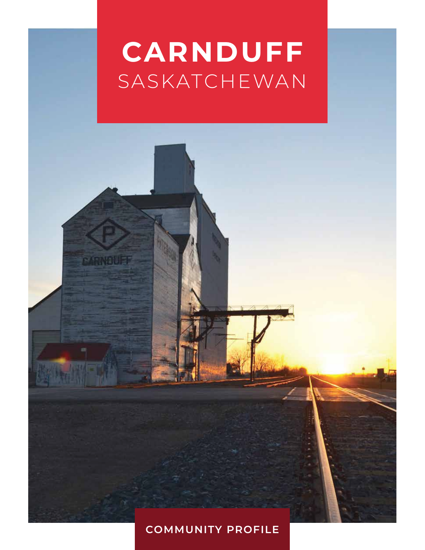# **CARNDUFF** SASKATCHEWAN

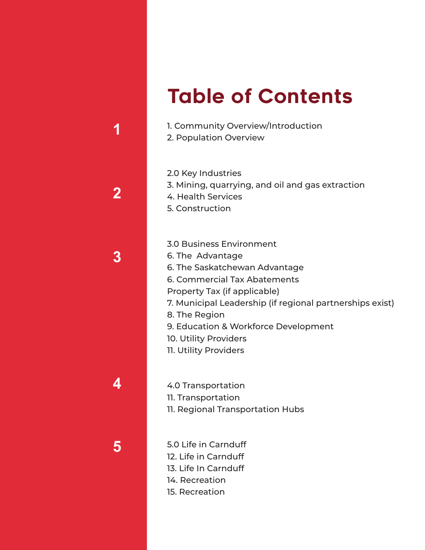## Table of Contents

- 1. Community Overview/Introduction
- 2. Population Overview
- 2.0 Key Industries
- 3. Mining, quarrying, and oil and gas extraction
- 4. Health Services
- 5. Construction

3.0 Business Environment 6. The Advantage 6. The Saskatchewan Advantage 6. Commercial Tax Abatements Property Tax (if applicable) 7. Municipal Leadership (if regional partnerships exist) 8. The Region 9. Education & Workforce Development 10. Utility Providers 11. Utility Providers

4.0 Transportation 11. Transportation 11. Regional Transportation Hubs

5.0 Life in Carnduff 12. Life in Carnduff 13. Life In Carnduff 14. Recreation 15. Recreation



**1**

**5**

**4**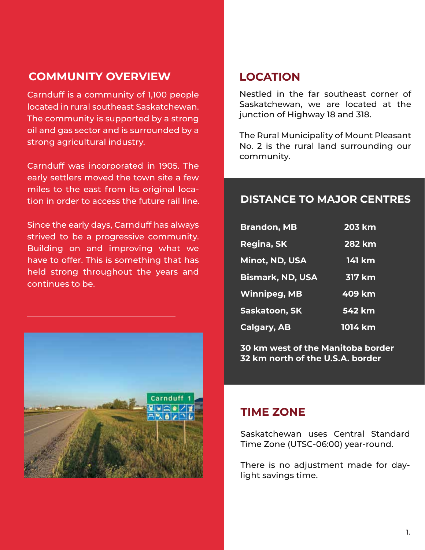### **COMMUNITY OVERVIEW**

Carnduff is a community of 1,100 people located in rural southeast Saskatchewan. The community is supported by a strong oil and gas sector and is surrounded by a strong agricultural industry.

Carnduff was incorporated in 1905. The early settlers moved the town site a few miles to the east from its original location in order to access the future rail line.

Since the early days, Carnduff has always strived to be a progressive community. Building on and improving what we have to offer. This is something that has held strong throughout the years and continues to be.



### **LOCATION**

Nestled in the far southeast corner of Saskatchewan, we are located at the junction of Highway 18 and 318.

The Rural Municipality of Mount Pleasant No. 2 is the rural land surrounding our community.

### **DISTANCE TO MAJOR CENTRES**

| <b>Brandon, MB</b>      | <b>203 km</b> |
|-------------------------|---------------|
| Regina, SK              | <b>282 km</b> |
| Minot, ND, USA          | 141 km        |
| <b>Bismark, ND, USA</b> | <b>317 km</b> |
| <b>Winnipeg, MB</b>     | 409 km        |
| Saskatoon, SK           | $542$ km      |
| <b>Calgary, AB</b>      | 1014 km       |

**30 km west of the Manitoba border 32 km north of the U.S.A. border**

### **TIME ZONE**

Saskatchewan uses Central Standard Time Zone (UTSC-06:00) year-round.

There is no adjustment made for daylight savings time.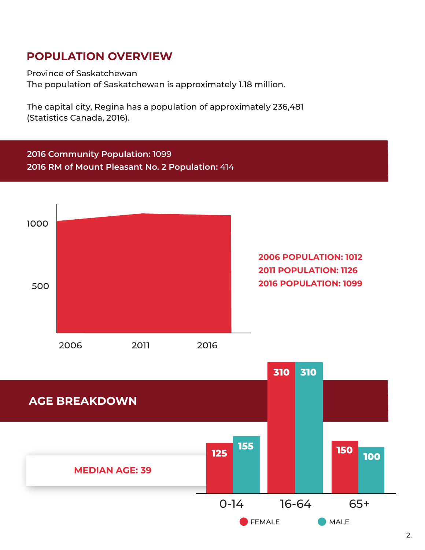### **POPULATION OVERVIEW**

Province of Saskatchewan

The population of Saskatchewan is approximately 1.18 million.

The capital city, Regina has a population of approximately 236,481 (Statistics Canada, 2016).

**2016 Community Population:** 1099 **2016 RM of Mount Pleasant No. 2 Population:** 414



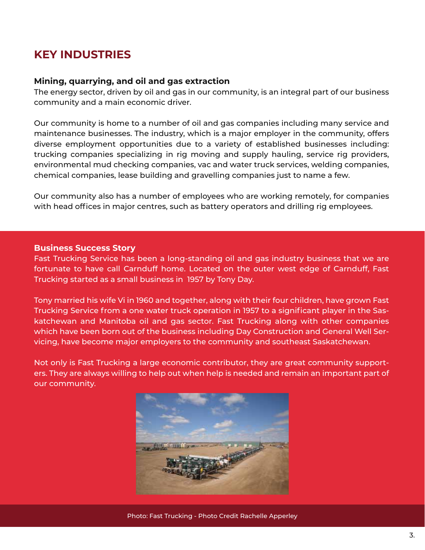### **KEY INDUSTRIES**

#### **Mining, quarrying, and oil and gas extraction**

The energy sector, driven by oil and gas in our community, is an integral part of our business community and a main economic driver.

Our community is home to a number of oil and gas companies including many service and maintenance businesses. The industry, which is a major employer in the community, offers diverse employment opportunities due to a variety of established businesses including: trucking companies specializing in rig moving and supply hauling, service rig providers, environmental mud checking companies, vac and water truck services, welding companies, chemical companies, lease building and gravelling companies just to name a few.

Our community also has a number of employees who are working remotely, for companies with head offices in major centres, such as battery operators and drilling rig employees.

#### **Business Success Story**

Fast Trucking Service has been a long-standing oil and gas industry business that we are fortunate to have call Carnduff home. Located on the outer west edge of Carnduff, Fast Trucking started as a small business in 1957 by Tony Day.

Tony married his wife Vi in 1960 and together, along with their four children, have grown Fast Trucking Service from a one water truck operation in 1957 to a significant player in the Saskatchewan and Manitoba oil and gas sector. Fast Trucking along with other companies which have been born out of the business including Day Construction and General Well Servicing, have become major employers to the community and southeast Saskatchewan.

Not only is Fast Trucking a large economic contributor, they are great community supporters. They are always willing to help out when help is needed and remain an important part of our community.



Photo: Fast Trucking - Photo Credit Rachelle Apperley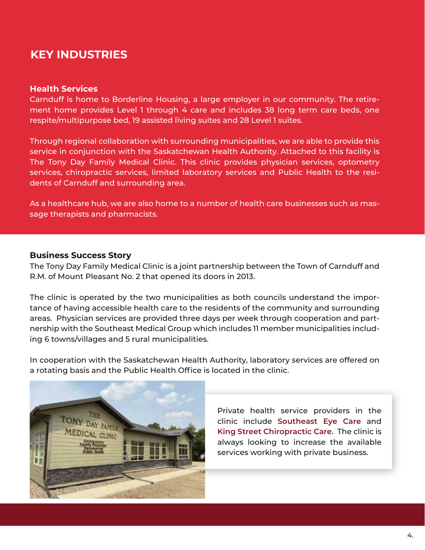### **KEY INDUSTRIES**

#### **Health Services**

Carnduff is home to Borderline Housing, a large employer in our community. The retirement home provides Level 1 through 4 care and includes 38 long term care beds, one respite/multipurpose bed, 19 assisted living suites and 28 Level 1 suites.

Through regional collaboration with surrounding municipalities, we are able to provide this service in conjunction with the Saskatchewan Health Authority. Attached to this facility is The Tony Day Family Medical Clinic. This clinic provides physician services, optometry services, chiropractic services, limited laboratory services and Public Health to the residents of Carnduff and surrounding area.

As a healthcare hub, we are also home to a number of health care businesses such as massage therapists and pharmacists.

#### **Business Success Story**

The Tony Day Family Medical Clinic is a joint partnership between the Town of Carnduff and R.M. of Mount Pleasant No. 2 that opened its doors in 2013.

The clinic is operated by the two municipalities as both councils understand the importance of having accessible health care to the residents of the community and surrounding areas. Physician services are provided three days per week through cooperation and partnership with the Southeast Medical Group which includes 11 member municipalities including 6 towns/villages and 5 rural municipalities.

In cooperation with the Saskatchewan Health Authority, laboratory services are offered on a rotating basis and the Public Health Office is located in the clinic.



Private health service providers in the clinic include **Southeast Eye Care** and **King Street Chiropractic Care.** The clinic is always looking to increase the available services working with private business.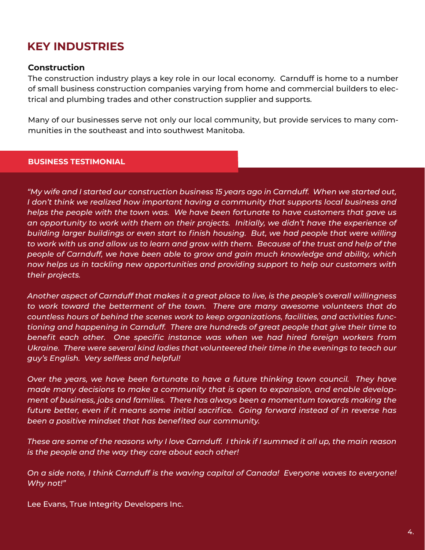### **KEY INDUSTRIES**

### **Construction**

The construction industry plays a key role in our local economy. Carnduff is home to a number of small business construction companies varying from home and commercial builders to electrical and plumbing trades and other construction supplier and supports.

Many of our businesses serve not only our local community, but provide services to many communities in the southeast and into southwest Manitoba.

#### **BUSINESS TESTIMONIAL**

*"My wife and I started our construction business 15 years ago in Carnduff. When we started out, I don't think we realized how important having a community that supports local business and helps the people with the town was. We have been fortunate to have customers that gave us an opportunity to work with them on their projects. Initially, we didn't have the experience of building larger buildings or even start to finish housing. But, we had people that were willing to work with us and allow us to learn and grow with them. Because of the trust and help of the people of Carnduff, we have been able to grow and gain much knowledge and ability, which now helps us in tackling new opportunities and providing support to help our customers with their projects.*

*Another aspect of Carnduff that makes it a great place to live, is the people's overall willingness to work toward the betterment of the town. There are many awesome volunteers that do countless hours of behind the scenes work to keep organizations, facilities, and activities functioning and happening in Carnduff. There are hundreds of great people that give their time to benefit each other. One specific instance was when we had hired foreign workers from Ukraine. There were several kind ladies that volunteered their time in the evenings to teach our guy's English. Very selfless and helpful!*

*Over the years, we have been fortunate to have a future thinking town council. They have made many decisions to make a community that is open to expansion, and enable development of business, jobs and families. There has always been a momentum towards making the*  future better, even if it means some initial sacrifice. Going forward instead of in reverse has *been a positive mindset that has benefited our community.*

*These are some of the reasons why I love Carnduff. I think if I summed it all up, the main reason is the people and the way they care about each other!*

*On a side note, I think Carnduff is the waving capital of Canada! Everyone waves to everyone! Why not!"*

Lee Evans, True Integrity Developers Inc.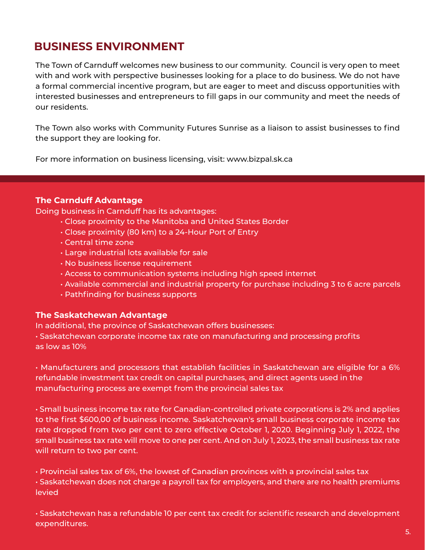### **BUSINESS ENVIRONMENT**

The Town of Carnduff welcomes new business to our community. Council is very open to meet with and work with perspective businesses looking for a place to do business. We do not have a formal commercial incentive program, but are eager to meet and discuss opportunities with interested businesses and entrepreneurs to fill gaps in our community and meet the needs of our residents.

The Town also works with Community Futures Sunrise as a liaison to assist businesses to find the support they are looking for.

For more information on business licensing, visit: www.bizpal.sk.ca

### **The Carnduff Advantage**

Doing business in Carnduff has its advantages:

- Close proximity to the Manitoba and United States Border
- Close proximity (80 km) to a 24-Hour Port of Entry
- Central time zone
- Large industrial lots available for sale
- No business license requirement
- Access to communication systems including high speed internet
- Available commercial and industrial property for purchase including 3 to 6 acre parcels
- Pathfinding for business supports

### **The Saskatchewan Advantage**

In additional, the province of Saskatchewan offers businesses:

• Saskatchewan corporate income tax rate on manufacturing and processing profits as low as 10%

• Manufacturers and processors that establish facilities in Saskatchewan are eligible for a 6% refundable investment tax credit on capital purchases, and direct agents used in the manufacturing process are exempt from the provincial sales tax

• Small business income tax rate for Canadian-controlled private corporations is 2% and applies to the first \$600,00 of business income. Saskatchewan's small business corporate income tax rate dropped from two per cent to zero effective October 1, 2020. Beginning July 1, 2022, the small business tax rate will move to one per cent. And on July 1, 2023, the small business tax rate will return to two per cent.

• Provincial sales tax of 6%, the lowest of Canadian provinces with a provincial sales tax • Saskatchewan does not charge a payroll tax for employers, and there are no health premiums levied

• Saskatchewan has a refundable 10 per cent tax credit for scientific research and development expenditures.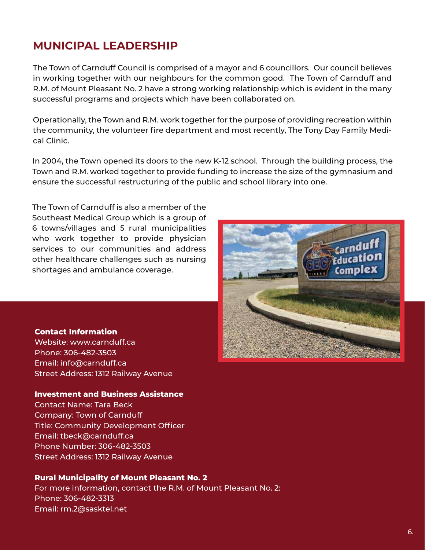### **MUNICIPAL LEADERSHIP**

The Town of Carnduff Council is comprised of a mayor and 6 councillors. Our council believes in working together with our neighbours for the common good. The Town of Carnduff and R.M. of Mount Pleasant No. 2 have a strong working relationship which is evident in the many successful programs and projects which have been collaborated on.

Operationally, the Town and R.M. work together for the purpose of providing recreation within the community, the volunteer fire department and most recently, The Tony Day Family Medical Clinic.

In 2004, the Town opened its doors to the new K-12 school. Through the building process, the Town and R.M. worked together to provide funding to increase the size of the gymnasium and ensure the successful restructuring of the public and school library into one.

The Town of Carnduff is also a member of the Southeast Medical Group which is a group of 6 towns/villages and 5 rural municipalities who work together to provide physician services to our communities and address other healthcare challenges such as nursing shortages and ambulance coverage.



#### **Contact Information**

Website: www.carnduff.ca Phone: 306-482-3503 Email: info@carnduff.ca Street Address: 1312 Railway Avenue

#### **Investment and Business Assistance**

Contact Name: Tara Beck Company: Town of Carnduff Title: Community Development Officer Email: tbeck@carnduff.ca Phone Number: 306-482-3503 Street Address: 1312 Railway Avenue

#### **Rural Municipality of Mount Pleasant No. 2**

For more information, contact the R.M. of Mount Pleasant No. 2: Phone: 306-482-3313 Email: rm.2@sasktel.net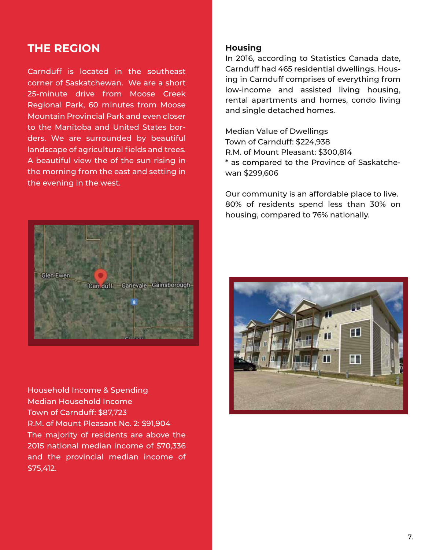### **THE REGION**

Carnduff is located in the southeast corner of Saskatchewan. We are a short 25-minute drive from Moose Creek Regional Park, 60 minutes from Moose Mountain Provincial Park and even closer to the Manitoba and United States borders. We are surrounded by beautiful landscape of agricultural fields and trees. A beautiful view the of the sun rising in the morning from the east and setting in the evening in the west.



Household Income & Spending Median Household Income Town of Carnduff: \$87,723 R.M. of Mount Pleasant No. 2: \$91,904 The majority of residents are above the 2015 national median income of \$70,336 and the provincial median income of \$75,412.

#### **Housing**

In 2016, according to Statistics Canada date, Carnduff had 465 residential dwellings. Housing in Carnduff comprises of everything from low-income and assisted living housing, rental apartments and homes, condo living and single detached homes.

Median Value of Dwellings Town of Carnduff: \$224,938 R.M. of Mount Pleasant: \$300,814 \* as compared to the Province of Saskatchewan \$299,606

Our community is an affordable place to live. 80% of residents spend less than 30% on housing, compared to 76% nationally.

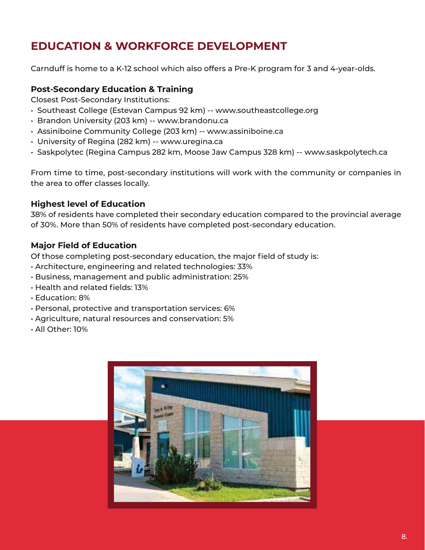### **EDUCATION & WORKFORCE DEVELOPMENT**

Carnduff is home to a K-12 school which also offers a Pre-K program for 3 and 4-year-olds.

### **Post-Secondary Education & Training**

Closest Post-Secondary Institutions:

- Southeast College (Estevan Campus 92 km) -- www.southeastcollege.org
- Brandon University (203 km) -- www.brandonu.ca
- Assiniboine Community College (203 km) -- www.assiniboine.ca
- University of Regina (282 km) -- www.uregina.ca
- Saskpolytec (Regina Campus 282 km, Moose Jaw Campus 328 km) -- www.saskpolytech.ca

From time to time, post-secondary institutions will work with the community or companies in the area to offer classes locally.

### **Highest level of Education**

38% of residents have completed their secondary education compared to the provincial average of 30%. More than 50% of residents have completed post-secondary education.

### **Major Field of Education**

Of those completing post-secondary education, the major field of study is:

- Architecture, engineering and related technologies: 33%
- Business, management and public administration: 25%
- Health and related fields: 13%
- Education: 8%
- Personal, protective and transportation services: 6%
- Agriculture, natural resources and conservation: 5%
- All Other: 10%

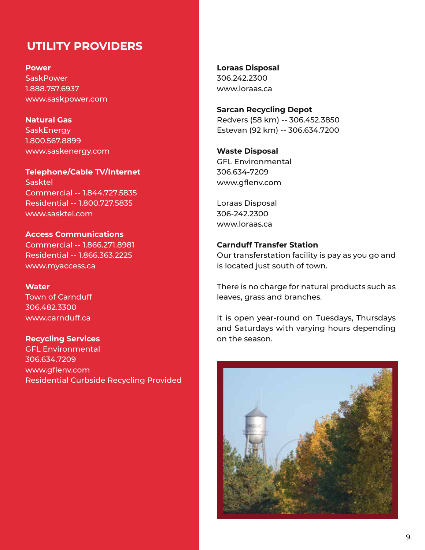### **UTILITY PROVIDERS**

**Power SaskPower** 1.888.757.6937 www.saskpower.com

**Natural Gas SaskEnergy** 1.800.567.8899 www.saskenergy.com

**Telephone/Cable TV/Internet** Sasktel Commercial -- 1.844.727.5835 Residential -- 1.800.727.5835 www.sasktel.com

**Access Communications** Commercial -- 1.866.271.8981 Residential -- 1.866.363.2225 www.myaccess.ca

**Water** Town of Carnduff 306.482.3300 www.carnduff.ca

**Recycling Services** GFL Environmental 306.634.7209 www.gflenv.com Residential Curbside Recycling Provided **Loraas Disposal** 306.242.2300 www.loraas.ca

**Sarcan Recycling Depot** Redvers (58 km) -- 306.452.3850 Estevan (92 km) -- 306.634.7200

**Waste Disposal**  GFL Environmental 306.634-7209 www.gflenv.com

Loraas Disposal 306-242.2300 www.loraas.ca

### **Carnduff Transfer Station**

Our transferstation facility is pay as you go and is located just south of town.

There is no charge for natural products such as leaves, grass and branches.

It is open year-round on Tuesdays, Thursdays and Saturdays with varying hours depending on the season.

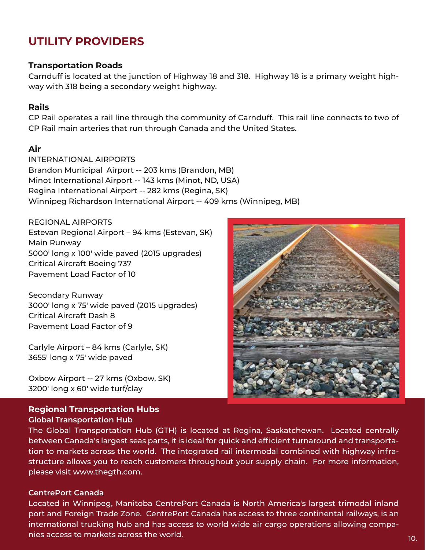### **UTILITY PROVIDERS**

### **Transportation Roads**

Carnduff is located at the junction of Highway 18 and 318. Highway 18 is a primary weight highway with 318 being a secondary weight highway.

### **Rails**

CP Rail operates a rail line through the community of Carnduff. This rail line connects to two of CP Rail main arteries that run through Canada and the United States.

### **Air**

INTERNATIONAL AIRPORTS Brandon Municipal Airport -- 203 kms (Brandon, MB) Minot International Airport -- 143 kms (Minot, ND, USA) Regina International Airport -- 282 kms (Regina, SK) Winnipeg Richardson International Airport -- 409 kms (Winnipeg, MB)

REGIONAL AIRPORTS Estevan Regional Airport – 94 kms (Estevan, SK) Main Runway 5000' long x 100' wide paved (2015 upgrades) Critical Aircraft Boeing 737 Pavement Load Factor of 10

Secondary Runway 3000' long x 75' wide paved (2015 upgrades) Critical Aircraft Dash 8 Pavement Load Factor of 9

Carlyle Airport – 84 kms (Carlyle, SK) 3655' long x 75' wide paved

Oxbow Airport -- 27 kms (Oxbow, SK) 3200' long x 60' wide turf/clay

### **Regional Transportation Hubs Global Transportation Hub**

The Global Transportation Hub (GTH) is located at Regina, Saskatchewan. Located centrally between Canada's largest seas parts, it is ideal for quick and efficient turnaround and transportation to markets across the world. The integrated rail intermodal combined with highway infrastructure allows you to reach customers throughout your supply chain. For more information, please visit www.thegth.com.

#### **CentrePort Canada**

Located in Winnipeg, Manitoba CentrePort Canada is North America's largest trimodal inland port and Foreign Trade Zone. CentrePort Canada has access to three continental railways, is an international trucking hub and has access to world wide air cargo operations allowing companies access to markets across the world.

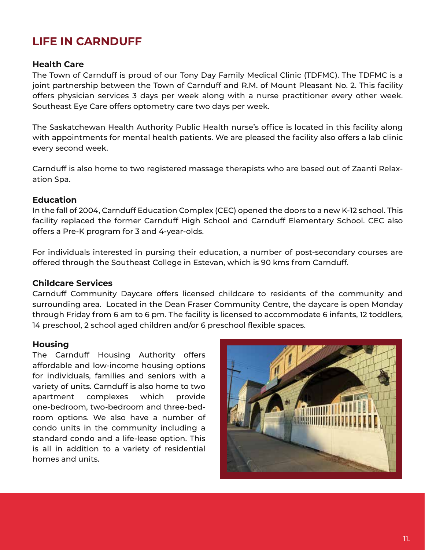### **LIFE IN CARNDUFF**

### **Health Care**

The Town of Carnduff is proud of our Tony Day Family Medical Clinic (TDFMC). The TDFMC is a joint partnership between the Town of Carnduff and R.M. of Mount Pleasant No. 2. This facility offers physician services 3 days per week along with a nurse practitioner every other week. Southeast Eye Care offers optometry care two days per week.

The Saskatchewan Health Authority Public Health nurse's office is located in this facility along with appointments for mental health patients. We are pleased the facility also offers a lab clinic every second week.

Carnduff is also home to two registered massage therapists who are based out of Zaanti Relaxation Spa.

### **Education**

In the fall of 2004, Carnduff Education Complex (CEC) opened the doors to a new K-12 school. This facility replaced the former Carnduff High School and Carnduff Elementary School. CEC also offers a Pre-K program for 3 and 4-year-olds.

For individuals interested in pursing their education, a number of post-secondary courses are offered through the Southeast College in Estevan, which is 90 kms from Carnduff.

### **Childcare Services**

Carnduff Community Daycare offers licensed childcare to residents of the community and surrounding area. Located in the Dean Fraser Community Centre, the daycare is open Monday through Friday from 6 am to 6 pm. The facility is licensed to accommodate 6 infants, 12 toddlers, 14 preschool, 2 school aged children and/or 6 preschool flexible spaces.

### **Housing**

The Carnduff Housing Authority offers affordable and low-income housing options for individuals, families and seniors with a variety of units. Carnduff is also home to two apartment complexes which provide one-bedroom, two-bedroom and three-bedroom options. We also have a number of condo units in the community including a standard condo and a life-lease option. This is all in addition to a variety of residential homes and units.

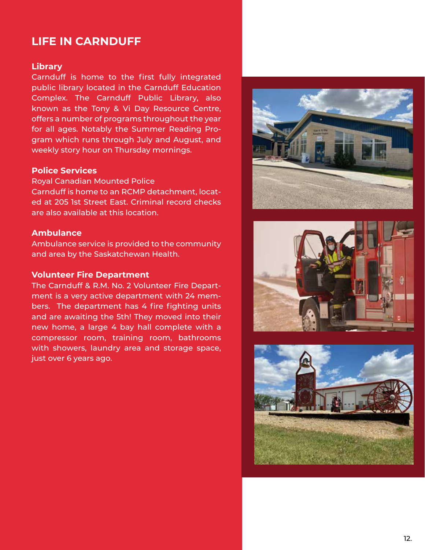### **LIFE IN CARNDUFF**

### **Library**

Carnduff is home to the first fully integrated public library located in the Carnduff Education Complex. The Carnduff Public Library, also known as the Tony & Vi Day Resource Centre, offers a number of programs throughout the year for all ages. Notably the Summer Reading Program which runs through July and August, and weekly story hour on Thursday mornings.

#### **Police Services**

Royal Canadian Mounted Police Carnduff is home to an RCMP detachment, located at 205 1st Street East. Criminal record checks are also available at this location.

#### **Ambulance**

Ambulance service is provided to the community and area by the Saskatchewan Health.

#### **Volunteer Fire Department**

The Carnduff & R.M. No. 2 Volunteer Fire Department is a very active department with 24 members. The department has 4 fire fighting units and are awaiting the 5th! They moved into their new home, a large 4 bay hall complete with a compressor room, training room, bathrooms with showers, laundry area and storage space, just over 6 years ago.





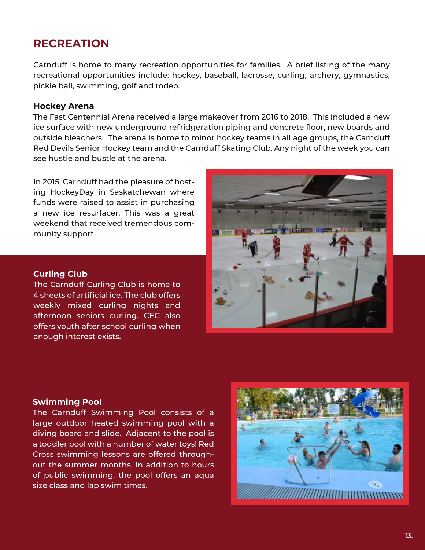### **RECREATION**

Carnduff is home to many recreation opportunities for families. A brief listing of the many recreational opportunities include: hockey, baseball, lacrosse, curling, archery, gymnastics, pickle ball, swimming, golf and rodeo.

#### **Hockey Arena**

The Fast Centennial Arena received a large makeover from 2016 to 2018. This included a new ice surface with new underground refridgeration piping and concrete floor, new boards and outside bleachers. The arena is home to minor hockey teams in all age groups, the Carnduff Red Devils Senior Hockey team and the Carnduff Skating Club. Any night of the week you can see hustle and bustle at the arena.

In 2015, Carnduff had the pleasure of hosting HockeyDay in Saskatchewan where funds were raised to assist in purchasing a new ice resurfacer. This was a great weekend that received tremendous community support.

#### **Curling Club**

The Carnduff Curling Club is home to 4 sheets of artificial ice. The club offers weekly mixed curling nights and afternoon seniors curling. CEC also offers youth after school curling when enough interest exists.



#### **Swimming Pool**

The Carnduff Swimming Pool consists of a large outdoor heated swimming pool with a diving board and slide. Adjacent to the pool is a toddler pool with a number of water toys! Red Cross swimming lessons are offered throughout the summer months. In addition to hours of public swimming, the pool offers an aqua size class and lap swim times.

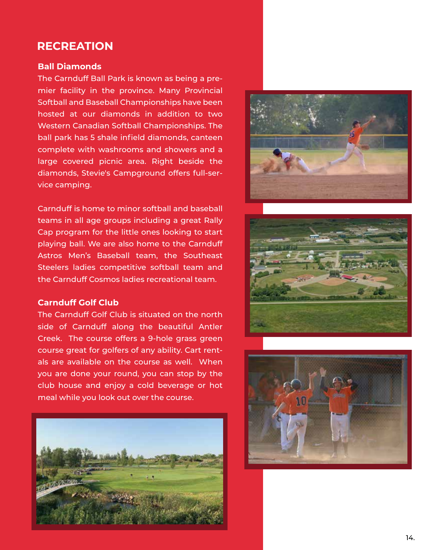### **RECREATION**

#### **Ball Diamonds**

The Carnduff Ball Park is known as being a premier facility in the province. Many Provincial Softball and Baseball Championships have been hosted at our diamonds in addition to two Western Canadian Softball Championships. The ball park has 5 shale infield diamonds, canteen complete with washrooms and showers and a large covered picnic area. Right beside the diamonds, Stevie's Campground offers full-service camping.

Carnduff is home to minor softball and baseball teams in all age groups including a great Rally Cap program for the little ones looking to start playing ball. We are also home to the Carnduff Astros Men's Baseball team, the Southeast Steelers ladies competitive softball team and the Carnduff Cosmos ladies recreational team.

### **Carnduff Golf Club**

The Carnduff Golf Club is situated on the north side of Carnduff along the beautiful Antler Creek. The course offers a 9-hole grass green course great for golfers of any ability. Cart rentals are available on the course as well. When you are done your round, you can stop by the club house and enjoy a cold beverage or hot meal while you look out over the course.







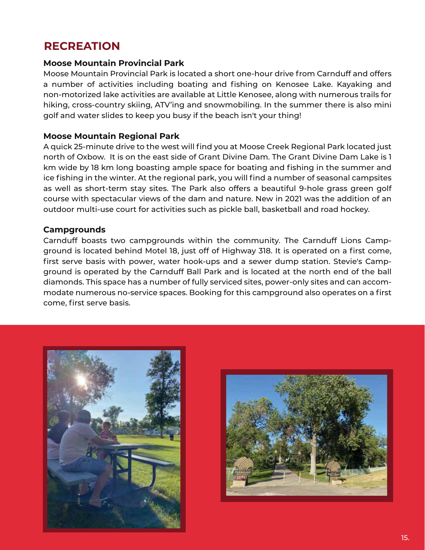### **RECREATION**

### **Moose Mountain Provincial Park**

Moose Mountain Provincial Park is located a short one-hour drive from Carnduff and offers a number of activities including boating and fishing on Kenosee Lake. Kayaking and non-motorized lake activities are available at Little Kenosee, along with numerous trails for hiking, cross-country skiing, ATV'ing and snowmobiling. In the summer there is also mini golf and water slides to keep you busy if the beach isn't your thing!

### **Moose Mountain Regional Park**

A quick 25-minute drive to the west will find you at Moose Creek Regional Park located just north of Oxbow. It is on the east side of Grant Divine Dam. The Grant Divine Dam Lake is 1 km wide by 18 km long boasting ample space for boating and fishing in the summer and ice fishing in the winter. At the regional park, you will find a number of seasonal campsites as well as short-term stay sites. The Park also offers a beautiful 9-hole grass green golf course with spectacular views of the dam and nature. New in 2021 was the addition of an outdoor multi-use court for activities such as pickle ball, basketball and road hockey.

### **Campgrounds**

Carnduff boasts two campgrounds within the community. The Carnduff Lions Campground is located behind Motel 18, just off of Highway 318. It is operated on a first come, first serve basis with power, water hook-ups and a sewer dump station. Stevie's Campground is operated by the Carnduff Ball Park and is located at the north end of the ball diamonds. This space has a number of fully serviced sites, power-only sites and can accommodate numerous no-service spaces. Booking for this campground also operates on a first come, first serve basis.